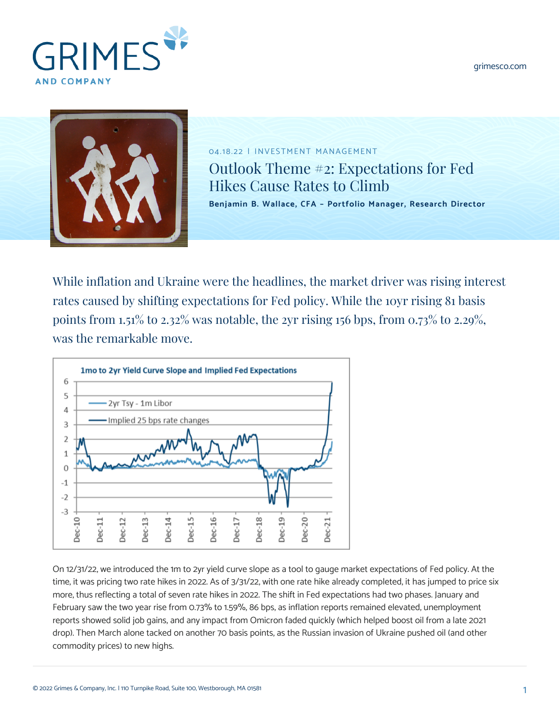[grimesco.com](https://www.grimesco.com)





04.18.22 | INVESTMENT MANAGEMENT Outlook Theme #2: Expectations for Fed Hikes Cause Rates to Climb **[Benjamin B. Wallace, CFA – Portfolio Manager, Research Director](https://www.grimesco.com/team-member/benjamin-b-wallace-cfa/)**

While inflation and Ukraine were the headlines, the market driver was rising interest rates caused by shifting expectations for Fed policy. While the 10yr rising 81 basis points from 1.51% to 2.32% was notable, the 2yr rising 156 bps, from 0.73% to 2.29%, was the remarkable move.



On 12/31/22, we introduced the 1m to 2yr yield curve slope as a tool to gauge market expectations of Fed policy. At the time, it was pricing two rate hikes in 2022. As of 3/31/22, with one rate hike already completed, it has jumped to price six more, thus reflecting a total of seven rate hikes in 2022. The shift in Fed expectations had two phases. January and February saw the two year rise from 0.73% to 1.59%, 86 bps, as inflation reports remained elevated, unemployment reports showed solid job gains, and any impact from Omicron faded quickly (which helped boost oil from a late 2021 drop). Then March alone tacked on another 70 basis points, as the Russian invasion of Ukraine pushed oil (and other commodity prices) to new highs.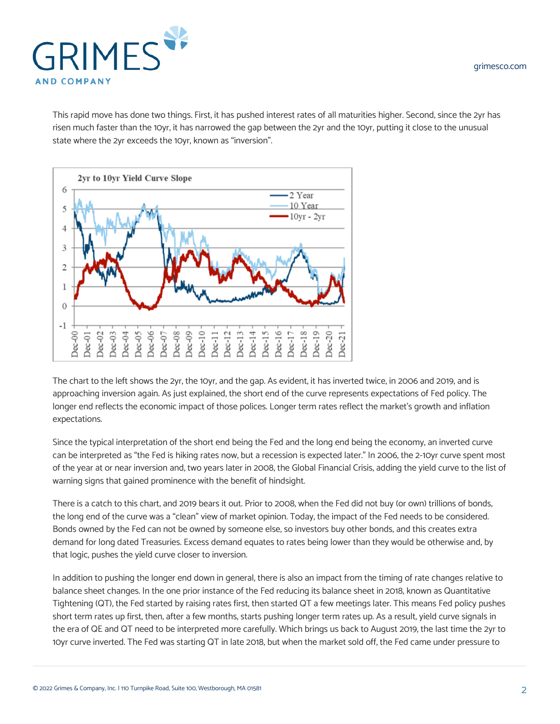

This rapid move has done two things. First, it has pushed interest rates of all maturities higher. Second, since the 2yr has risen much faster than the 10yr, it has narrowed the gap between the 2yr and the 10yr, putting it close to the unusual state where the 2yr exceeds the 10yr, known as "inversion".



The chart to the left shows the 2yr, the 10yr, and the gap. As evident, it has inverted twice, in 2006 and 2019, and is approaching inversion again. As just explained, the short end of the curve represents expectations of Fed policy. The longer end reflects the economic impact of those polices. Longer term rates reflect the market's growth and inflation expectations.

Since the typical interpretation of the short end being the Fed and the long end being the economy, an inverted curve can be interpreted as "the Fed is hiking rates now, but a recession is expected later." In 2006, the 2-10yr curve spent most of the year at or near inversion and, two years later in 2008, the Global Financial Crisis, adding the yield curve to the list of warning signs that gained prominence with the benefit of hindsight.

There is a catch to this chart, and 2019 bears it out. Prior to 2008, when the Fed did not buy (or own) trillions of bonds, the long end of the curve was a "clean" view of market opinion. Today, the impact of the Fed needs to be considered. Bonds owned by the Fed can not be owned by someone else, so investors buy other bonds, and this creates extra demand for long dated Treasuries. Excess demand equates to rates being lower than they would be otherwise and, by that logic, pushes the yield curve closer to inversion.

In addition to pushing the longer end down in general, there is also an impact from the timing of rate changes relative to balance sheet changes. In the one prior instance of the Fed reducing its balance sheet in 2018, known as Quantitative Tightening (QT), the Fed started by raising rates first, then started QT a few meetings later. This means Fed policy pushes short term rates up first, then, after a few months, starts pushing longer term rates up. As a result, yield curve signals in the era of QE and QT need to be interpreted more carefully. Which brings us back to August 2019, the last time the 2yr to 10yr curve inverted. The Fed was starting QT in late 2018, but when the market sold off, the Fed came under pressure to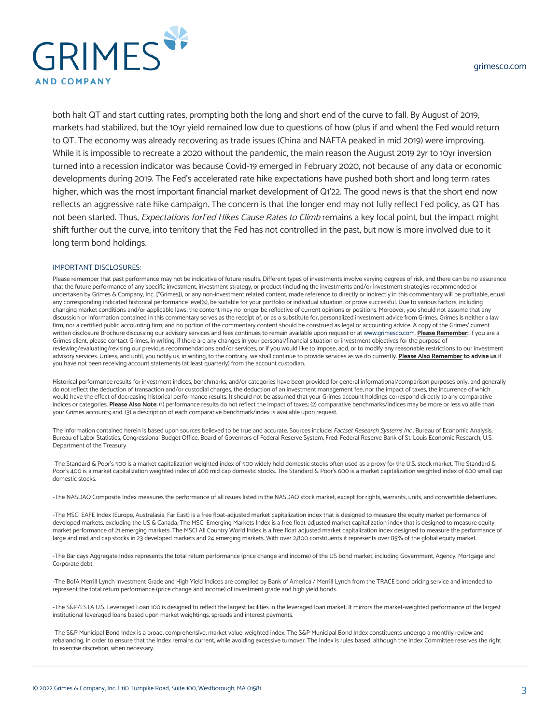

both halt QT and start cutting rates, prompting both the long and short end of the curve to fall. By August of 2019, markets had stabilized, but the 10yr yield remained low due to questions of how (plus if and when) the Fed would return to QT. The economy was already recovering as trade issues (China and NAFTA peaked in mid 2019) were improving. While it is impossible to recreate a 2020 without the pandemic, the main reason the August 2019 2yr to 10yr inversion turned into a recession indicator was because Covid-19 emerged in February 2020, not because of any data or economic developments during 2019. The Fed's accelerated rate hike expectations have pushed both short and long term rates higher, which was the most important financial market development of Q1'22. The good news is that the short end now reflects an aggressive rate hike campaign. The concern is that the longer end may not fully reflect Fed policy, as QT has not been started. Thus, Expectations forFed Hikes Cause Rates to Climb remains a key focal point, but the impact might shift further out the curve, into territory that the Fed has not controlled in the past, but now is more involved due to it long term bond holdings.

## IMPORTANT DISCLOSURES:

Please remember that past performance may not be indicative of future results. Different types of investments involve varying degrees of risk, and there can be no assurance that the future performance of any specific investment, investment strategy, or product (including the investments and/or investment strategies recommended or undertaken by Grimes & Company, Inc. ["Grimes]), or any non-investment related content, made reference to directly or indirectly in this commentary will be profitable, equal any corresponding indicated historical performance level(s), be suitable for your portfolio or individual situation, or prove successful. Due to various factors, including changing market conditions and/or applicable laws, the content may no longer be reflective of current opinions or positions. Moreover, you should not assume that any discussion or information contained in this commentary serves as the receipt of, or as a substitute for, personalized investment advice from Grimes. Grimes is neither a law firm, nor a certified public accounting firm, and no portion of the commentary content should be construed as legal or accounting advice. A copy of the Grimes' current written disclosure Brochure discussing our advisory services and fees continues to remain available upon request or at [www.grimesco.com](http://www.grimesco.com). **Please Remember:** If you are a Grimes client, please contact Grimes, in writing, if there are any changes in your personal/financial situation or investment objectives for the purpose of reviewing/evaluating/revising our previous recommendations and/or services, or if you would like to impose, add, or to modify any reasonable restrictions to our investment advisory services. Unless, and until, you notify us, in writing, to the contrary, we shall continue to provide services as we do currently. Please Also Remember to advise us if you have not been receiving account statements (at least quarterly) from the account custodian.

Historical performance results for investment indices, benchmarks, and/or categories have been provided for general informational/comparison purposes only, and generally do not reflect the deduction of transaction and/or custodial charges, the deduction of an investment management fee, nor the impact of taxes, the incurrence of which would have the effect of decreasing historical performance results. It should not be assumed that your Grimes account holdings correspond directly to any comparative indices or categories. Please Also Note: (1) performance results do not reflect the impact of taxes; (2) comparative benchmarks/indices may be more or less volatile than your Grimes accounts; and, (3) a description of each comparative benchmark/index is available upon request.

The information contained herein is based upon sources believed to be true and accurate. Sources include: Factset Research Systems Inc., Bureau of Economic Analysis, Bureau of Labor Statistics, Congressional Budget Office, Board of Governors of Federal Reserve System, Fred: Federal Reserve Bank of St. Louis Economic Research, U.S. Department of the Treasury

-The Standard & Poor's 500 is a market capitalization weighted index of 500 widely held domestic stocks often used as a proxy for the U.S. stock market. The Standard & Poor's 400 is a market capitalization weighted index of 400 mid cap domestic stocks. The Standard & Poor's 600 is a market capitalization weighted index of 600 small cap domestic stocks.

-The NASDAQ Composite Index measures the performance of all issues listed in the NASDAQ stock market, except for rights, warrants, units, and convertible debentures.

-The MSCI EAFE Index (Europe, Australasia, Far East) is a free float-adjusted market capitalization index that is designed to measure the equity market performance of developed markets, excluding the US & Canada. The MSCI Emerging Markets Index is a free float-adjusted market capitalization index that is designed to measure equity market performance of 21 emerging markets. The MSCI All Country World Index is a free float adjusted market capitalization index designed to measure the performance of large and mid and cap stocks in 23 developed markets and 24 emerging markets. With over 2,800 constituents it represents over 85% of the global equity market.

-The Barlcays Aggregate Index represents the total return performance (price change and income) of the US bond market, including Government, Agency, Mortgage and Corporate debt.

-The BofA Merrill Lynch Investment Grade and High Yield Indices are compiled by Bank of America / Merrill Lynch from the TRACE bond pricing service and intended to represent the total return performance (price change and income) of investment grade and high yield bonds.

-The S&P/LSTA U.S. Leveraged Loan 100 is designed to reflect the largest facilities in the leveraged loan market. It mirrors the market-weighted performance of the largest institutional leveraged loans based upon market weightings, spreads and interest payments.

-The S&P Municipal Bond Index is a broad, comprehensive, market value-weighted index. The S&P Municipal Bond Index constituents undergo a monthly review and rebalancing, in order to ensure that the Index remains current, while avoiding excessive turnover. The Index is rules based, although the Index Committee reserves the right to exercise discretion, when necessary.